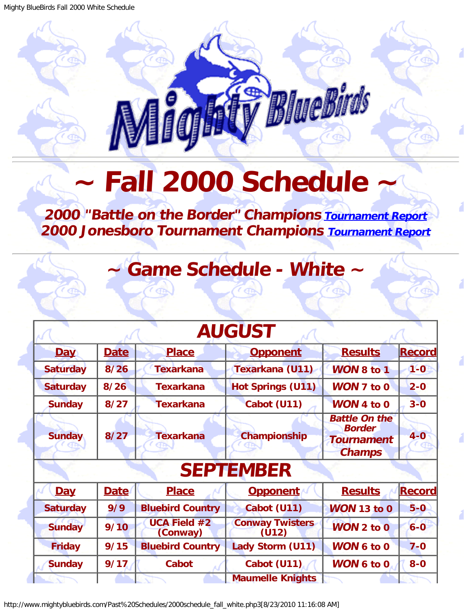## BlueBirds

## **Fall 2000 Schedule**

## <span id="page-0-0"></span>**2000 "Battle on the Border" Champions [Tournament Report](http://www.mightybluebirds.com/Tournaments/2000texarkana.php3) 2000 Jonesboro Tournament Champions [Tournament Report](http://www.mightybluebirds.com/Tournaments/2000jonesboro.php3)**

**Game Schedule - White** 

| <b>AUGUST</b>   |             |                                 |                                 |                                                                             |               |  |  |
|-----------------|-------------|---------------------------------|---------------------------------|-----------------------------------------------------------------------------|---------------|--|--|
| Day             | <b>Date</b> | <b>Place</b>                    | <b>Opponent</b>                 | <b>Results</b>                                                              | <b>Record</b> |  |  |
| <b>Saturday</b> | 8/26        | <b>Texarkana</b>                | Texarkana (U11)                 | <b>WON 8 to 1</b>                                                           | $1-0$         |  |  |
| <b>Saturday</b> | 8/26        | <b>Texarkana</b>                | <b>Hot Springs (U11)</b>        | <b>WON 7 to 0</b>                                                           | $2 - 0$       |  |  |
| <b>Sunday</b>   | 8/27        | <b>Texarkana</b>                | Cabot (U11)                     | WON 4 to 0                                                                  | $3 - 0$       |  |  |
| <b>Sunday</b>   | 8/27        | <b>Texarkana</b>                | Championship                    | <b>Battle On the</b><br><b>Border</b><br><b>Tournament</b><br><b>Champs</b> | $4 - 0$       |  |  |
|                 |             |                                 | <b>SEPTEMBER</b>                |                                                                             |               |  |  |
| Day             | <b>Date</b> | <b>Place</b>                    | <b>Opponent</b>                 | <b>Results</b>                                                              | <b>Record</b> |  |  |
| <b>Saturday</b> | 9/9         | <b>Bluebird Country</b>         | Cabot (U11)                     | <b>WON 13 to 0</b>                                                          | $5-0$         |  |  |
| <b>Sunday</b>   | 9/10        | <b>UCA Field #2</b><br>(Conway) | <b>Conway Twisters</b><br>(U12) | $WON$ 2 to 0                                                                | $6 - 0$       |  |  |
| <b>Friday</b>   | 9/15        | <b>Bluebird Country</b>         | Lady Storm (U11)                | <b>WON 6 to 0</b>                                                           | $7 - 0$       |  |  |
| <b>Sunday</b>   | 9/17        | <b>Cabot</b>                    | Cabot (U11)                     | <b>WON 6 to 0</b>                                                           | $8-0$         |  |  |
|                 |             |                                 | <b>Maumelle Knights</b>         |                                                                             |               |  |  |

http://www.mightybluebirds.com/Past%20Schedules/2000schedule\_fall\_white.php3[8/23/2010 11:16:08 AM]